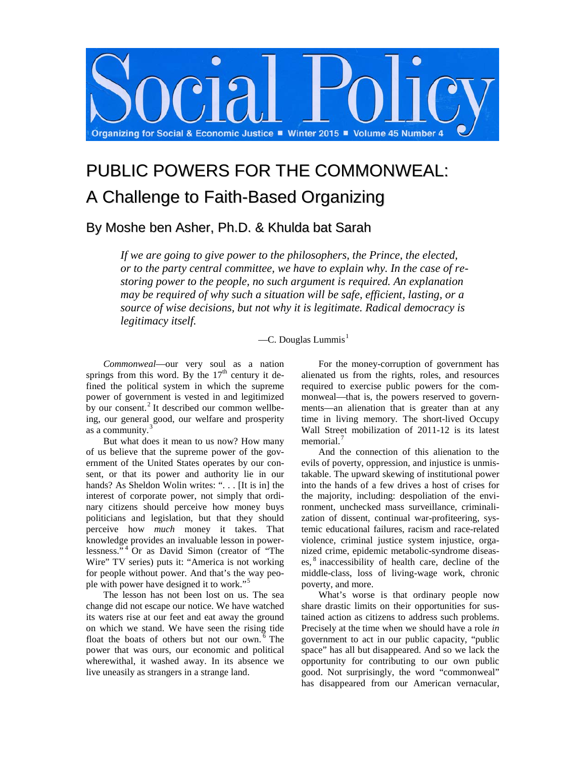

# PUBLIC POWERS FOR THE COMMONWEAL: A Challenge to Faith-Based Organizing

## By Moshe ben Asher, Ph.D. & Khulda bat Sarah

*If we are going to give power to the philosophers, the Prince, the elected, or to the party central committee, we have to explain why. In the case of restoring power to the people, no such argument is required. An explanation may be required of why such a situation will be safe, efficient, lasting, or a source of wise decisions, but not why it is legitimate. Radical democracy is legitimacy itself.*

### $-C.$  Douglas Lummis<sup>[1](#page-8-0)</sup>

*Commonweal*—our very soul as a nation springs from this word. By the  $17<sup>th</sup>$  century it defined the political system in which the supreme power of government is vested in and legitimized by our consent.<sup>[2](#page-8-1)</sup> It described our common wellbeing, our general good, our welfare and prosperity as a community.<sup>[3](#page-8-2)</sup>

But what does it mean to us now? How many of us believe that the supreme power of the government of the United States operates by our consent, or that its power and authority lie in our hands? As Sheldon Wolin writes: "... [It is in] the interest of corporate power, not simply that ordinary citizens should perceive how money buys politicians and legislation, but that they should perceive how *much* money it takes. That knowledge provides an invaluable lesson in powerlessness." [4](#page-8-3) Or as David Simon (creator of "The Wire" TV series) puts it: "America is not working for people without power. And that's the way people with power have designed it to work."[5](#page-8-4)

The lesson has not been lost on us. The sea change did not escape our notice. We have watched its waters rise at our feet and eat away the ground on which we stand. We have seen the rising tide float the boats of others but not our own.<sup>[6](#page-8-5)</sup> The power that was ours, our economic and political wherewithal, it washed away. In its absence we live uneasily as strangers in a strange land.

For the money-corruption of government has alienated us from the rights, roles, and resources required to exercise public powers for the commonweal—that is, the powers reserved to governments—an alienation that is greater than at any time in living memory. The short-lived Occupy Wall Street mobilization of 2011-12 is its latest memorial.<sup>[7](#page-9-0)</sup>

And the connection of this alienation to the evils of poverty, oppression, and injustice is unmistakable. The upward skewing of institutional power into the hands of a few drives a host of crises for the majority, including: despoliation of the environment, unchecked mass surveillance, criminalization of dissent, continual war-profiteering, systemic educational failures, racism and race-related violence, criminal justice system injustice, organized crime, epidemic metabolic-syndrome diseases, [8](#page-9-1) inaccessibility of health care, decline of the middle-class, loss of living-wage work, chronic poverty, and more.

What's worse is that ordinary people now share drastic limits on their opportunities for sustained action as citizens to address such problems. Precisely at the time when we should have a role *in* government to act in our public capacity, "public space" has all but disappeared. And so we lack the opportunity for contributing to our own public good. Not surprisingly, the word "commonweal" has disappeared from our American vernacular,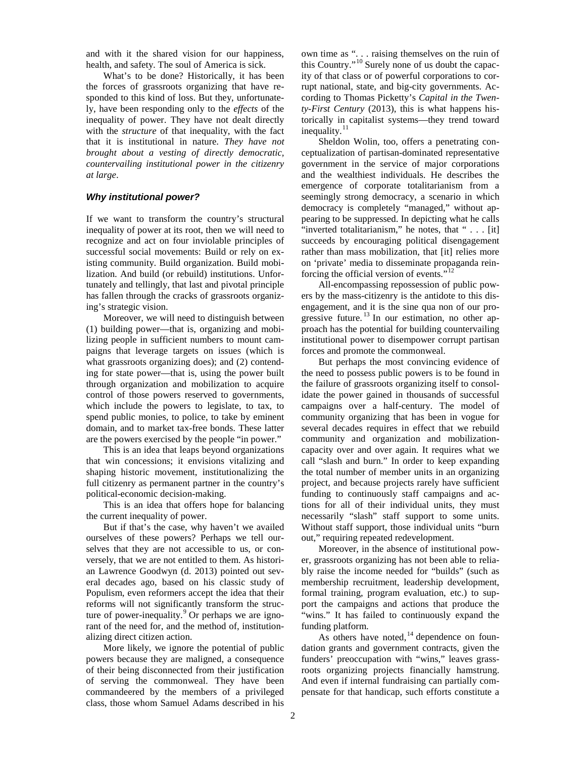and with it the shared vision for our happiness, health, and safety. The soul of America is sick.

What's to be done? Historically, it has been the forces of grassroots organizing that have responded to this kind of loss. But they, unfortunately, have been responding only to the *effects* of the inequality of power. They have not dealt directly with the *structure* of that inequality, with the fact that it is institutional in nature. *They have not brought about a vesting of directly democratic, countervailing institutional power in the citizenry at large*.

#### *Why institutional power?*

If we want to transform the country's structural inequality of power at its root, then we will need to recognize and act on four inviolable principles of successful social movements: Build or rely on existing community. Build organization. Build mobilization. And build (or rebuild) institutions. Unfortunately and tellingly, that last and pivotal principle has fallen through the cracks of grassroots organizing's strategic vision.

Moreover, we will need to distinguish between (1) building power—that is, organizing and mobilizing people in sufficient numbers to mount campaigns that leverage targets on issues (which is what grassroots organizing does); and (2) contending for state power—that is, using the power built through organization and mobilization to acquire control of those powers reserved to governments, which include the powers to legislate, to tax, to spend public monies, to police, to take by eminent domain, and to market tax-free bonds. These latter are the powers exercised by the people "in power."

This is an idea that leaps beyond organizations that win concessions; it envisions vitalizing and shaping historic movement, institutionalizing the full citizenry as permanent partner in the country's political-economic decision-making.

This is an idea that offers hope for balancing the current inequality of power.

But if that's the case, why haven't we availed ourselves of these powers? Perhaps we tell ourselves that they are not accessible to us, or conversely, that we are not entitled to them. As historian Lawrence Goodwyn (d. 2013) pointed out several decades ago, based on his classic study of Populism, even reformers accept the idea that their reforms will not significantly transform the structure of power-inequality. $9$  Or perhaps we are ignorant of the need for, and the method of, institutionalizing direct citizen action.

More likely, we ignore the potential of public powers because they are maligned, a consequence of their being disconnected from their justification of serving the commonweal. They have been commandeered by the members of a privileged class, those whom Samuel Adams described in his

own time as ". . . raising themselves on the ruin of this Country."[10](#page-10-0) Surely none of us doubt the capacity of that class or of powerful corporations to corrupt national, state, and big-city governments. According to Thomas Picketty's *Capital in the Twenty-First Century* (2013), this is what happens historically in capitalist systems—they trend toward inequality.<sup>[11](#page-10-1)</sup>

Sheldon Wolin, too, offers a penetrating conceptualization of partisan-dominated representative government in the service of major corporations and the wealthiest individuals. He describes the emergence of corporate totalitarianism from a seemingly strong democracy, a scenario in which democracy is completely "managed," without appearing to be suppressed. In depicting what he calls "inverted totalitarianism," he notes, that " . . . [it] succeeds by encouraging political disengagement rather than mass mobilization, that [it] relies more on 'private' media to disseminate propaganda reinforcing the official version of events."<sup>1</sup>

All-encompassing repossession of public powers by the mass-citizenry is the antidote to this disengagement, and it is the sine qua non of our progressive future.  $\frac{13}{10}$  $\frac{13}{10}$  $\frac{13}{10}$  In our estimation, no other approach has the potential for building countervailing institutional power to disempower corrupt partisan forces and promote the commonweal.

But perhaps the most convincing evidence of the need to possess public powers is to be found in the failure of grassroots organizing itself to consolidate the power gained in thousands of successful campaigns over a half-century. The model of community organizing that has been in vogue for several decades requires in effect that we rebuild community and organization and mobilizationcapacity over and over again. It requires what we call "slash and burn." In order to keep expanding the total number of member units in an organizing project, and because projects rarely have sufficient funding to continuously staff campaigns and actions for all of their individual units, they must necessarily "slash" staff support to some units. Without staff support, those individual units "burn out," requiring repeated redevelopment.

Moreover, in the absence of institutional power, grassroots organizing has not been able to reliably raise the income needed for "builds" (such as membership recruitment, leadership development, formal training, program evaluation, etc.) to support the campaigns and actions that produce the "wins." It has failed to continuously expand the funding platform.

As others have noted,  $14$  dependence on foundation grants and government contracts, given the funders' preoccupation with "wins," leaves grassroots organizing projects financially hamstrung. And even if internal fundraising can partially compensate for that handicap, such efforts constitute a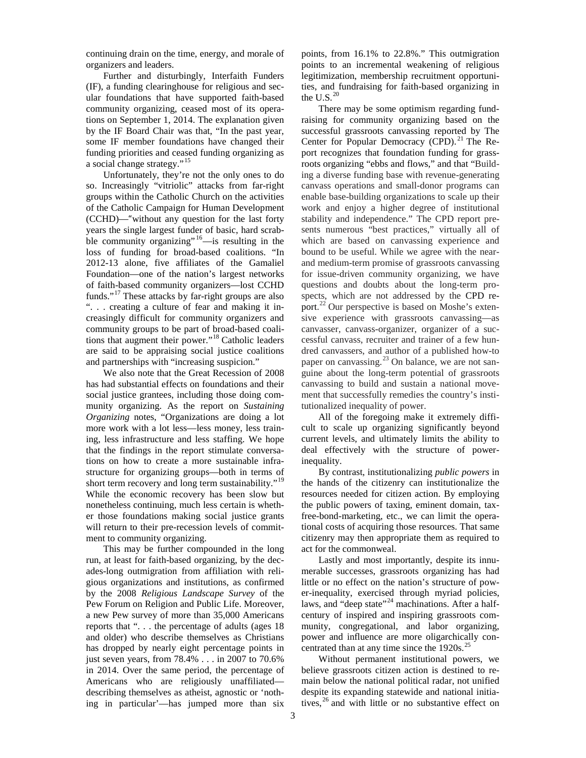continuing drain on the time, energy, and morale of organizers and leaders.

Further and disturbingly, Interfaith Funders (IF), a funding clearinghouse for religious and secular foundations that have supported faith-based community organizing, ceased most of its operations on September 1, 2014. The explanation given by the IF Board Chair was that, "In the past year, some IF member foundations have changed their funding priorities and ceased funding organizing as a social change strategy."<sup>[15](#page-11-0)</sup>

Unfortunately, they're not the only ones to do so. Increasingly "vitriolic" attacks from far-right groups within the Catholic Church on the activities of the Catholic Campaign for Human Development (CCHD)—"without any question for the last forty years the single largest funder of basic, hard scrabble community organizing"  $\frac{16}{16}$  $\frac{16}{16}$  $\frac{16}{16}$  is resulting in the loss of funding for broad-based coalitions. "In 2012-13 alone, five affiliates of the Gamaliel Foundation—one of the nation's largest networks of faith-based community organizers—lost CCHD funds."[17](#page-11-2) These attacks by far-right groups are also ". . . creating a culture of fear and making it increasingly difficult for community organizers and community groups to be part of broad-based coalitions that augment their power."[18](#page-11-3) Catholic leaders are said to be appraising social justice coalitions and partnerships with "increasing suspicion."

We also note that the Great Recession of 2008 has had substantial effects on foundations and their social justice grantees, including those doing community organizing. As the report on *Sustaining Organizing* notes, "Organizations are doing a lot more work with a lot less—less money, less training, less infrastructure and less staffing. We hope that the findings in the report stimulate conversations on how to create a more sustainable infrastructure for organizing groups—both in terms of short term recovery and long term sustainability."<sup>[19](#page-11-4)</sup> While the economic recovery has been slow but nonetheless continuing, much less certain is whether those foundations making social justice grants will return to their pre-recession levels of commitment to community organizing.

This may be further compounded in the long run, at least for faith-based organizing, by the decades-long outmigration from affiliation with religious organizations and institutions, as confirmed by the 2008 *Religious Landscape Survey* of the Pew Forum on Religion and Public Life. Moreover, a new Pew survey of more than 35,000 Americans reports that ". . . the percentage of adults (ages 18 and older) who describe themselves as Christians has dropped by nearly eight percentage points in just seven years, from 78.4% . . . in 2007 to 70.6% in 2014. Over the same period, the percentage of Americans who are religiously unaffiliated describing themselves as atheist, agnostic or 'nothing in particular'—has jumped more than six

points, from 16.1% to 22.8%." This outmigration points to an incremental weakening of religious legitimization, membership recruitment opportunities, and fundraising for faith-based organizing in the U.S. $^{20}$  $^{20}$  $^{20}$ 

There may be some optimism regarding fundraising for community organizing based on the successful grassroots canvassing reported by The Center for Popular Democracy (CPD). [21](#page-11-6) The Report recognizes that foundation funding for grassroots organizing "ebbs and flows," and that "Building a diverse funding base with revenue-generating canvass operations and small-donor programs can enable base-building organizations to scale up their work and enjoy a higher degree of institutional stability and independence." The CPD report presents numerous "best practices," virtually all of which are based on canvassing experience and bound to be useful. While we agree with the nearand medium-term promise of grassroots canvassing for issue-driven community organizing, we have questions and doubts about the long-term prospects, which are not addressed by the CPD re-port.<sup>[22](#page-11-7)</sup> Our perspective is based on Moshe's extensive experience with grassroots canvassing—as canvasser, canvass-organizer, organizer of a successful canvass, recruiter and trainer of a few hundred canvassers, and author of a published how-to paper on canvassing. $^{23}$  $^{23}$  $^{23}$  On balance, we are not sanguine about the long-term potential of grassroots canvassing to build and sustain a national movement that successfully remedies the country's institutionalized inequality of power.

All of the foregoing make it extremely difficult to scale up organizing significantly beyond current levels, and ultimately limits the ability to deal effectively with the structure of powerinequality.

By contrast, institutionalizing *public powers* in the hands of the citizenry can institutionalize the resources needed for citizen action. By employing the public powers of taxing, eminent domain, taxfree-bond-marketing, etc., we can limit the operational costs of acquiring those resources. That same citizenry may then appropriate them as required to act for the commonweal.

Lastly and most importantly, despite its innumerable successes, grassroots organizing has had little or no effect on the nation's structure of power-inequality, exercised through myriad policies, laws, and "deep state"<sup>[24](#page-11-9)</sup> machinations. After a halfcentury of inspired and inspiring grassroots community, congregational, and labor organizing, power and influence are more oligarchically con-centrated than at any time since the 1920s.<sup>[25](#page-11-10)</sup>

Without permanent institutional powers, we believe grassroots citizen action is destined to remain below the national political radar, not unified despite its expanding statewide and national initiatives, [26](#page-11-11) and with little or no substantive effect on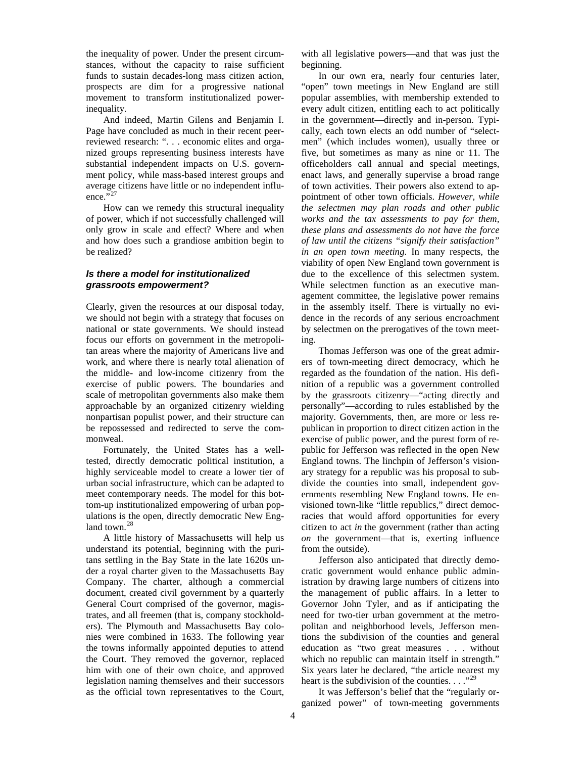the inequality of power. Under the present circumstances, without the capacity to raise sufficient funds to sustain decades-long mass citizen action, prospects are dim for a progressive national movement to transform institutionalized powerinequality.

And indeed, Martin Gilens and Benjamin I. Page have concluded as much in their recent peerreviewed research: ". . . economic elites and organized groups representing business interests have substantial independent impacts on U.S. government policy, while mass-based interest groups and average citizens have little or no independent influ-ence."<sup>[27](#page-11-12)</sup>

How can we remedy this structural inequality of power, which if not successfully challenged will only grow in scale and effect? Where and when and how does such a grandiose ambition begin to be realized?

#### *Is there a model for institutionalized grassroots empowerment?*

Clearly, given the resources at our disposal today, we should not begin with a strategy that focuses on national or state governments. We should instead focus our efforts on government in the metropolitan areas where the majority of Americans live and work, and where there is nearly total alienation of the middle- and low-income citizenry from the exercise of public powers. The boundaries and scale of metropolitan governments also make them approachable by an organized citizenry wielding nonpartisan populist power, and their structure can be repossessed and redirected to serve the commonweal.

Fortunately, the United States has a welltested, directly democratic political institution, a highly serviceable model to create a lower tier of urban social infrastructure, which can be adapted to meet contemporary needs. The model for this bottom-up institutionalized empowering of urban populations is the open, directly democratic New England town. $^{28}$  $^{28}$  $^{28}$ 

A little history of Massachusetts will help us understand its potential, beginning with the puritans settling in the Bay State in the late 1620s under a royal charter given to the Massachusetts Bay Company. The charter, although a commercial document, created civil government by a quarterly General Court comprised of the governor, magistrates, and all freemen (that is, company stockholders). The Plymouth and Massachusetts Bay colonies were combined in 1633. The following year the towns informally appointed deputies to attend the Court. They removed the governor, replaced him with one of their own choice, and approved legislation naming themselves and their successors as the official town representatives to the Court,

with all legislative powers—and that was just the beginning.

In our own era, nearly four centuries later, "open" town meetings in New England are still popular assemblies, with membership extended to every adult citizen, entitling each to act politically in the government—directly and in-person. Typically, each town elects an odd number of "selectmen" (which includes women), usually three or five, but sometimes as many as nine or 11. The officeholders call annual and special meetings, enact laws, and generally supervise a broad range of town activities. Their powers also extend to appointment of other town officials. *However, while the selectmen may plan roads and other public works and the tax assessments to pay for them, these plans and assessments do not have the force of law until the citizens "signify their satisfaction" in an open town meeting*. In many respects, the viability of open New England town government is due to the excellence of this selectmen system. While selectmen function as an executive management committee, the legislative power remains in the assembly itself. There is virtually no evidence in the records of any serious encroachment by selectmen on the prerogatives of the town meeting.

Thomas Jefferson was one of the great admirers of town-meeting direct democracy, which he regarded as the foundation of the nation. His definition of a republic was a government controlled by the grassroots citizenry—"acting directly and personally"—according to rules established by the majority. Governments, then, are more or less republican in proportion to direct citizen action in the exercise of public power, and the purest form of republic for Jefferson was reflected in the open New England towns. The linchpin of Jefferson's visionary strategy for a republic was his proposal to subdivide the counties into small, independent governments resembling New England towns. He envisioned town-like "little republics," direct democracies that would afford opportunities for every citizen to act *in* the government (rather than acting *on* the government—that is, exerting influence from the outside).

Jefferson also anticipated that directly democratic government would enhance public administration by drawing large numbers of citizens into the management of public affairs. In a letter to Governor John Tyler, and as if anticipating the need for two-tier urban government at the metropolitan and neighborhood levels, Jefferson mentions the subdivision of the counties and general education as "two great measures . . . without which no republic can maintain itself in strength." Six years later he declared, "the article nearest my heart is the subdivision of the counties.  $\ldots$ <sup>[29](#page-11-3)</sup>

It was Jefferson's belief that the "regularly organized power" of town-meeting governments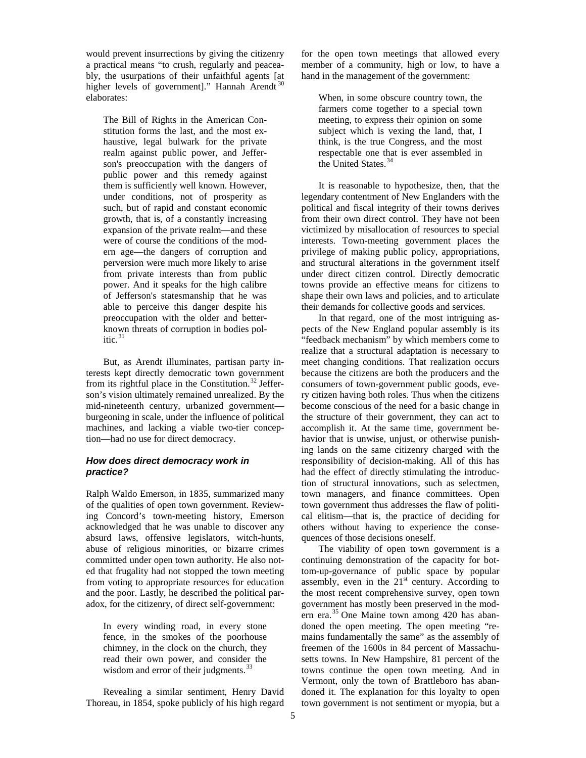would prevent insurrections by giving the citizenry a practical means "to crush, regularly and peaceably, the usurpations of their unfaithful agents [at higher levels of government]." Hannah Arendt<sup>3</sup> elaborates:

The Bill of Rights in the American Constitution forms the last, and the most exhaustive, legal bulwark for the private realm against public power, and Jefferson's preoccupation with the dangers of public power and this remedy against them is sufficiently well known. However, under conditions, not of prosperity as such, but of rapid and constant economic growth, that is, of a constantly increasing expansion of the private realm—and these were of course the conditions of the modern age—the dangers of corruption and perversion were much more likely to arise from private interests than from public power. And it speaks for the high calibre of Jefferson's statesmanship that he was able to perceive this danger despite his preoccupation with the older and betterknown threats of corruption in bodies politic. $31$ 

But, as Arendt illuminates, partisan party interests kept directly democratic town government from its rightful place in the Constitution.<sup>[32](#page-11-16)</sup> Jefferson's vision ultimately remained unrealized. By the mid-nineteenth century, urbanized government burgeoning in scale, under the influence of political machines, and lacking a viable two-tier conception—had no use for direct democracy.

#### *How does direct democracy work in practice?*

Ralph Waldo Emerson, in 1835, summarized many of the qualities of open town government. Reviewing Concord's town-meeting history, Emerson acknowledged that he was unable to discover any absurd laws, offensive legislators, witch-hunts, abuse of religious minorities, or bizarre crimes committed under open town authority. He also noted that frugality had not stopped the town meeting from voting to appropriate resources for education and the poor. Lastly, he described the political paradox, for the citizenry, of direct self-government:

In every winding road, in every stone fence, in the smokes of the poorhouse chimney, in the clock on the church, they read their own power, and consider the wisdom and error of their judgments.<sup>[33](#page-11-8)</sup>

Revealing a similar sentiment, Henry David Thoreau, in 1854, spoke publicly of his high regard for the open town meetings that allowed every member of a community, high or low, to have a hand in the management of the government:

When, in some obscure country town, the farmers come together to a special town meeting, to express their opinion on some subject which is vexing the land, that, I think, is the true Congress, and the most respectable one that is ever assembled in the United States.<sup>[34](#page-11-9)</sup>

It is reasonable to hypothesize, then, that the legendary contentment of New Englanders with the political and fiscal integrity of their towns derives from their own direct control. They have not been victimized by misallocation of resources to special interests. Town-meeting government places the privilege of making public policy, appropriations, and structural alterations in the government itself under direct citizen control. Directly democratic towns provide an effective means for citizens to shape their own laws and policies, and to articulate their demands for collective goods and services.

In that regard, one of the most intriguing aspects of the New England popular assembly is its "feedback mechanism" by which members come to realize that a structural adaptation is necessary to meet changing conditions. That realization occurs because the citizens are both the producers and the consumers of town-government public goods, every citizen having both roles. Thus when the citizens become conscious of the need for a basic change in the structure of their government, they can act to accomplish it. At the same time, government behavior that is unwise, unjust, or otherwise punishing lands on the same citizenry charged with the responsibility of decision-making. All of this has had the effect of directly stimulating the introduction of structural innovations, such as selectmen, town managers, and finance committees. Open town government thus addresses the flaw of political elitism—that is, the practice of deciding for others without having to experience the consequences of those decisions oneself.

The viability of open town government is a continuing demonstration of the capacity for bottom-up-governance of public space by popular assembly, even in the  $21<sup>st</sup>$  century. According to the most recent comprehensive survey, open town government has mostly been preserved in the modern era. [35](#page-11-17) One Maine town among 420 has abandoned the open meeting. The open meeting "remains fundamentally the same" as the assembly of freemen of the 1600s in 84 percent of Massachusetts towns. In New Hampshire, 81 percent of the towns continue the open town meeting. And in Vermont, only the town of Brattleboro has abandoned it. The explanation for this loyalty to open town government is not sentiment or myopia, but a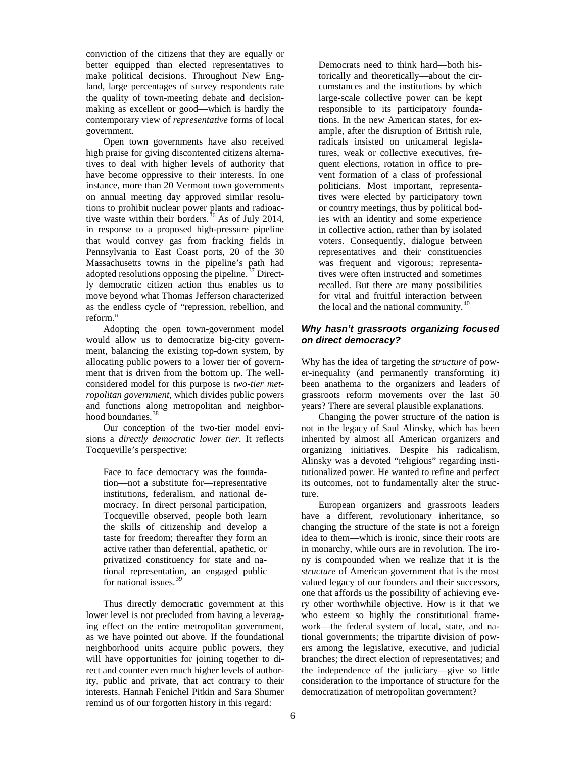conviction of the citizens that they are equally or better equipped than elected representatives to make political decisions. Throughout New England, large percentages of survey respondents rate the quality of town-meeting debate and decisionmaking as excellent or good—which is hardly the contemporary view of *representative* forms of local government.

Open town governments have also received high praise for giving discontented citizens alternatives to deal with higher levels of authority that have become oppressive to their interests. In one instance, more than 20 Vermont town governments on annual meeting day approved similar resolutions to prohibit nuclear power plants and radioac-tive waste within their borders.<sup>[36](#page-11-18)</sup> As of July 2014, in response to a proposed high-pressure pipeline that would convey gas from fracking fields in Pennsylvania to East Coast ports, 20 of the 30 Massachusetts towns in the pipeline's path had adopted resolutions opposing the pipeline.<sup>[37](#page-11-19)</sup> Directly democratic citizen action thus enables us to move beyond what Thomas Jefferson characterized as the endless cycle of "repression, rebellion, and reform."

Adopting the open town-government model would allow us to democratize big-city government, balancing the existing top-down system, by allocating public powers to a lower tier of government that is driven from the bottom up. The wellconsidered model for this purpose is *two-tier metropolitan government*, which divides public powers and functions along metropolitan and neighbor-hood boundaries.<sup>[38](#page-11-20)</sup>

Our conception of the two-tier model envisions a *directly democratic lower tier*. It reflects Tocqueville's perspective:

Face to face democracy was the foundation—not a substitute for—representative institutions, federalism, and national democracy. In direct personal participation, Tocqueville observed, people both learn the skills of citizenship and develop a taste for freedom; thereafter they form an active rather than deferential, apathetic, or privatized constituency for state and national representation, an engaged public for national issues. [39](#page-11-21)

Thus directly democratic government at this lower level is not precluded from having a leveraging effect on the entire metropolitan government, as we have pointed out above. If the foundational neighborhood units acquire public powers, they will have opportunities for joining together to direct and counter even much higher levels of authority, public and private, that act contrary to their interests. Hannah Fenichel Pitkin and Sara Shumer remind us of our forgotten history in this regard:

Democrats need to think hard—both historically and theoretically—about the circumstances and the institutions by which large-scale collective power can be kept responsible to its participatory foundations. In the new American states, for example, after the disruption of British rule, radicals insisted on unicameral legislatures, weak or collective executives, frequent elections, rotation in office to prevent formation of a class of professional politicians. Most important, representatives were elected by participatory town or country meetings, thus by political bodies with an identity and some experience in collective action, rather than by isolated voters. Consequently, dialogue between representatives and their constituencies was frequent and vigorous; representatives were often instructed and sometimes recalled. But there are many possibilities for vital and fruitful interaction between the local and the national community.<sup>[40](#page-11-22)</sup>

#### *Why hasn't grassroots organizing focused on direct democracy?*

Why has the idea of targeting the *structure* of power-inequality (and permanently transforming it) been anathema to the organizers and leaders of grassroots reform movements over the last 50 years? There are several plausible explanations.

Changing the power structure of the nation is not in the legacy of Saul Alinsky, which has been inherited by almost all American organizers and organizing initiatives. Despite his radicalism, Alinsky was a devoted "religious" regarding institutionalized power. He wanted to refine and perfect its outcomes, not to fundamentally alter the structure.

European organizers and grassroots leaders have a different, revolutionary inheritance, so changing the structure of the state is not a foreign idea to them—which is ironic, since their roots are in monarchy, while ours are in revolution. The irony is compounded when we realize that it is the *structure* of American government that is the most valued legacy of our founders and their successors, one that affords us the possibility of achieving every other worthwhile objective. How is it that we who esteem so highly the constitutional framework—the federal system of local, state, and national governments; the tripartite division of powers among the legislative, executive, and judicial branches; the direct election of representatives; and the independence of the judiciary—give so little consideration to the importance of structure for the democratization of metropolitan government?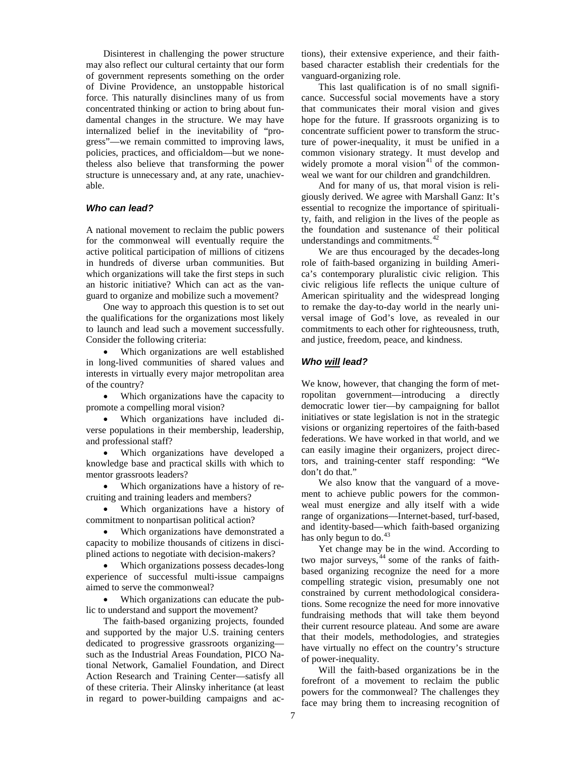Disinterest in challenging the power structure may also reflect our cultural certainty that our form of government represents something on the order of Divine Providence, an unstoppable historical force. This naturally disinclines many of us from concentrated thinking or action to bring about fundamental changes in the structure. We may have internalized belief in the inevitability of "progress"—we remain committed to improving laws, policies, practices, and officialdom—but we nonetheless also believe that transforming the power structure is unnecessary and, at any rate, unachievable.

#### *Who can lead?*

A national movement to reclaim the public powers for the commonweal will eventually require the active political participation of millions of citizens in hundreds of diverse urban communities. But which organizations will take the first steps in such an historic initiative? Which can act as the vanguard to organize and mobilize such a movement?

One way to approach this question is to set out the qualifications for the organizations most likely to launch and lead such a movement successfully. Consider the following criteria:

• Which organizations are well established in long-lived communities of shared values and interests in virtually every major metropolitan area of the country?

• Which organizations have the capacity to promote a compelling moral vision?

Which organizations have included diverse populations in their membership, leadership, and professional staff?

• Which organizations have developed a knowledge base and practical skills with which to mentor grassroots leaders?

• Which organizations have a history of recruiting and training leaders and members?

Which organizations have a history of commitment to nonpartisan political action?

• Which organizations have demonstrated a capacity to mobilize thousands of citizens in disciplined actions to negotiate with decision-makers?

• Which organizations possess decades-long experience of successful multi-issue campaigns aimed to serve the commonweal?

• Which organizations can educate the public to understand and support the movement?

The faith-based organizing projects, founded and supported by the major U.S. training centers dedicated to progressive grassroots organizing such as the Industrial Areas Foundation, PICO National Network, Gamaliel Foundation, and Direct Action Research and Training Center—satisfy all of these criteria. Their Alinsky inheritance (at least in regard to power-building campaigns and actions), their extensive experience, and their faithbased character establish their credentials for the vanguard-organizing role.

This last qualification is of no small significance. Successful social movements have a story that communicates their moral vision and gives hope for the future. If grassroots organizing is to concentrate sufficient power to transform the structure of power-inequality, it must be unified in a common visionary strategy. It must develop and widely promote a moral vision $4$ <sup>1</sup> of the commonweal we want for our children and grandchildren.

And for many of us, that moral vision is religiously derived. We agree with Marshall Ganz: It's essential to recognize the importance of spirituality, faith, and religion in the lives of the people as the foundation and sustenance of their political understandings and commitments.<sup>[42](#page-11-24)</sup>

We are thus encouraged by the decades-long role of faith-based organizing in building America's contemporary pluralistic civic religion. This civic religious life reflects the unique culture of American spirituality and the widespread longing to remake the day-to-day world in the nearly universal image of God's love, as revealed in our commitments to each other for righteousness, truth, and justice, freedom, peace, and kindness.

#### *Who will lead?*

We know, however, that changing the form of metropolitan government—introducing a directly democratic lower tier—by campaigning for ballot initiatives or state legislation is not in the strategic visions or organizing repertoires of the faith-based federations. We have worked in that world, and we can easily imagine their organizers, project directors, and training-center staff responding: "We don't do that."

We also know that the vanguard of a movement to achieve public powers for the commonweal must energize and ally itself with a wide range of organizations—Internet-based, turf-based, and identity-based—which faith-based organizing has only begun to do. $43$ 

Yet change may be in the wind. According to two major surveys, [44](#page-11-26) some of the ranks of faithbased organizing recognize the need for a more compelling strategic vision, presumably one not constrained by current methodological considerations. Some recognize the need for more innovative fundraising methods that will take them beyond their current resource plateau. And some are aware that their models, methodologies, and strategies have virtually no effect on the country's structure of power-inequality.

Will the faith-based organizations be in the forefront of a movement to reclaim the public powers for the commonweal? The challenges they face may bring them to increasing recognition of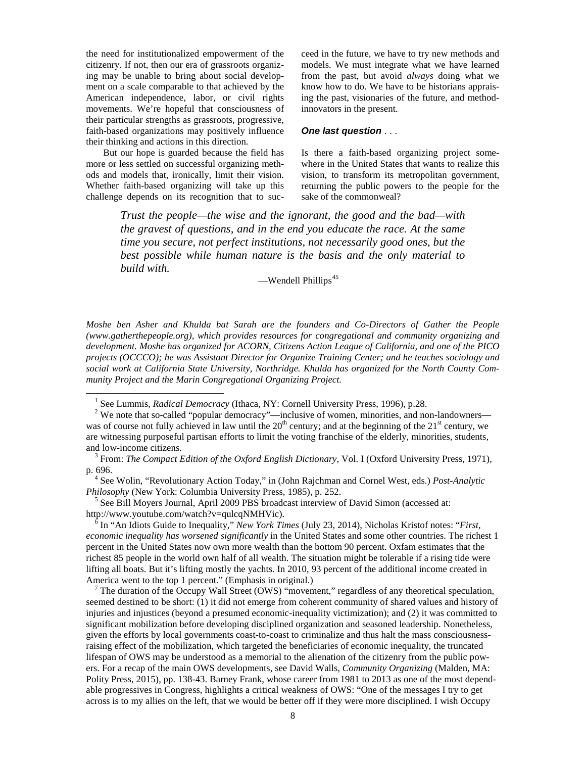the need for institutionalized empowerment of the citizenry. If not, then our era of grassroots organizing may be unable to bring about social development on a scale comparable to that achieved by the American independence, labor, or civil rights movements. We're hopeful that consciousness of their particular strengths as grassroots, progressive, faith-based organizations may positively influence their thinking and actions in this direction.

But our hope is guarded because the field has more or less settled on successful organizing methods and models that, ironically, limit their vision. Whether faith-based organizing will take up this challenge depends on its recognition that to succeed in the future, we have to try new methods and models. We must integrate what we have learned from the past, but avoid *always* doing what we know how to do. We have to be historians appraising the past, visionaries of the future, and methodinnovators in the present.

#### *One last question* . . .

Is there a faith-based organizing project somewhere in the United States that wants to realize this vision, to transform its metropolitan government, returning the public powers to the people for the sake of the commonweal?

*Trust the people—the wise and the ignorant, the good and the bad—with the gravest of questions, and in the end you educate the race. At the same time you secure, not perfect institutions, not necessarily good ones, but the best possible while human nature is the basis and the only material to build with.*

 $-$ Wendell Phillips<sup>[45](#page-11-27)</sup>

*Moshe ben Asher and Khulda bat Sarah are the founders and Co-Directors of Gather the People (www.gatherthepeople.org), which provides resources for congregational and community organizing and development. Moshe has organized for ACORN, Citizens Action League of California, and one of the PICO projects (OCCCO); he was Assistant Director for Organize Training Center; and he teaches sociology and social work at California State University, Northridge. Khulda has organized for the North County Community Project and the Marin Congregational Organizing Project.*

<sup>5</sup> See Bill Moyers Journal, April 2009 PBS broadcast interview of David Simon (accessed at: http://www.youtube.com/watch?v=qulcqNMHVic).

 $\delta$  In "An Idiots Guide to Inequality," *New York Times (July 23, 2014)*, Nicholas Kristof notes: "*First*, *economic inequality has worsened significantly* in the United States and some other countries. The richest 1 percent in the United States now own more wealth than the bottom 90 percent. Oxfam estimates that the richest 85 people in the world own half of all wealth. The situation might be tolerable if a rising tide were lifting all boats. But it's lifting mostly the yachts. In 2010, 93 percent of the additional income created in America went to the top 1 percent." (Emphasis in original.)

<sup>7</sup> The duration of the Occupy Wall Street (OWS) "movement," regardless of any theoretical speculation, seemed destined to be short: (1) it did not emerge from coherent community of shared values and history of injuries and injustices (beyond a presumed economic-inequality victimization); and (2) it was committed to significant mobilization before developing disciplined organization and seasoned leadership. Nonetheless, given the efforts by local governments coast-to-coast to criminalize and thus halt the mass consciousnessraising effect of the mobilization, which targeted the beneficiaries of economic inequality, the truncated lifespan of OWS may be understood as a memorial to the alienation of the citizenry from the public powers. For a recap of the main OWS developments, see David Walls, *Community Organizing* (Malden, MA: Polity Press, 2015), pp. 138-43. Barney Frank, whose career from 1981 to 2013 as one of the most dependable progressives in Congress, highlights a critical weakness of OWS: "One of the messages I try to get across is to my allies on the left, that we would be better off if they were more disciplined. I wish Occupy

<sup>&</sup>lt;sup>1</sup> See Lummis, *Radical Democracy* (Ithaca, NY: Cornell University Press, 1996), p.28. <sup>2</sup> We note that so-called "popular democracy"—inclusive of women, minorities, and non-landowners was of course not fully achieved in law until the  $20<sup>th</sup>$  century; and at the beginning of the  $21<sup>st</sup>$  century, we are witnessing purposeful partisan efforts to limit the voting franchise of the elderly, minorities, students,

<sup>&</sup>lt;sup>3</sup> From: *The Compact Edition of the Oxford English Dictionary*, Vol. I (Oxford University Press, 1971), p. 696.

<sup>&</sup>lt;sup>4</sup> See Wolin, "Revolutionary Action Today," in (John Rajchman and Cornel West, eds.) *Post-Analytic Philosophy* (New York: Columbia University Press, 1985), p. 252.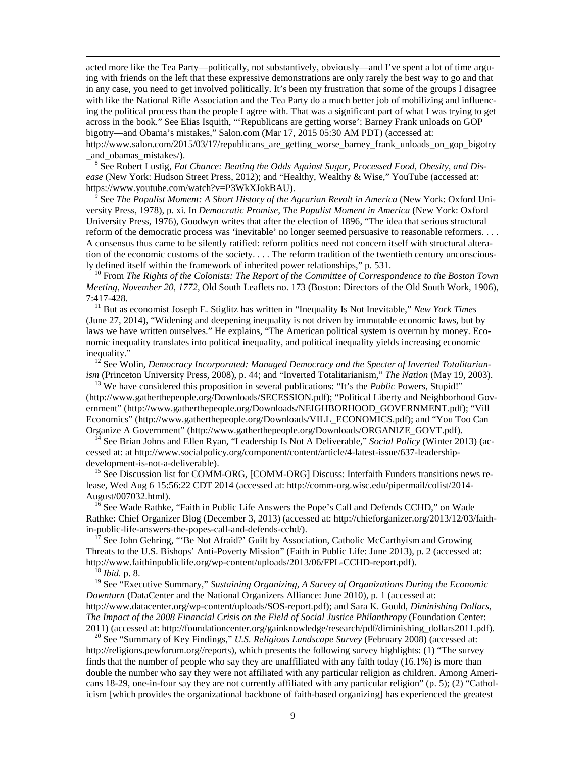acted more like the Tea Party—politically, not substantively, obviously—and I've spent a lot of time arguing with friends on the left that these expressive demonstrations are only rarely the best way to go and that in any case, you need to get involved politically. It's been my frustration that some of the groups I disagree with like the National Rifle Association and the Tea Party do a much better job of mobilizing and influencing the political process than the people I agree with. That was a significant part of what I was trying to get across in the book." See Elias Isquith, "'Republicans are getting worse': Barney Frank unloads on GOP bigotry—and Obama's mistakes," Salon.com (Mar 17, 2015 05:30 AM PDT) (accessed at: http://www.salon.com/2015/03/17/republicans are getting worse barney frank unloads on gop bigotry

\_and\_obamas\_mistakes/). <sup>8</sup> See Robert Lustig, *Fat Chance: Beating the Odds Against Sugar, Processed Food, Obesity, and Disease* (New York: Hudson Street Press, 2012); and "Healthy, Wealthy & Wise," YouTube (accessed at:

https://www.youtube.com/watch?v=P3WkXJokBAU). <sup>9</sup> See *The Populist Moment: A Short History of the Agrarian Revolt in America* (New York: Oxford University Press, 1978), p. xi. In *Democratic Promise, The Populist Moment in America* (New York: Oxford University Press, 1976), Goodwyn writes that after the election of 1896, "The idea that serious structural reform of the democratic process was 'inevitable' no longer seemed persuasive to reasonable reformers. . . . A consensus thus came to be silently ratified: reform politics need not concern itself with structural alteration of the economic customs of the society. . . . The reform tradition of the twentieth century unconsciously defined itself within the framework of inherited power relationships," p. 531.<br><sup>10</sup> From *The Rights of the Colonists: The Report of the Committee of Correspondence to the Boston Town* 

*Meeting, November 20, 1772*, Old South Leaflets no. 173 (Boston: Directors of the Old South Work, 1906), 7:417-428. <sup>11</sup> But as economist Joseph E. Stiglitz has written in "Inequality Is Not Inevitable," *New York Times*

(June 27, 2014), "Widening and deepening inequality is not driven by immutable economic laws, but by laws we have written ourselves." He explains, "The American political system is overrun by money. Economic inequality translates into political inequality, and political inequality yields increasing economic inequality."<br><sup>12</sup> See Wolin, *Democracy Incorporated: Managed Democracy and the Specter of Inverted Totalitarian-*

*ism* (Princeton University Press, 2008), p. 44; and "Inverted Totalitarianism," *The Nation* (May 19, 2003). <sup>13</sup> We have considered this proposition in several publications: "It's the *Public* Powers, Stupid!"

<span id="page-8-0"></span>(http://www.gatherthepeople.org/Downloads/SECESSION.pdf); "Political Liberty and Neighborhood Government" (http://www.gatherthepeople.org/Downloads/NEIGHBORHOOD\_GOVERNMENT.pdf); "Vill Economics" (http://www.gatherthepeople.org/Downloads/VILL\_ECONOMICS.pdf); and "You Too Can

<span id="page-8-1"></span>Organize A Government" (http://www.gatherthepeople.org/Downloads/ORGANIZE\_GOVT.pdf). <sup>14</sup> See Brian Johns and Ellen Ryan, "Leadership Is Not A Deliverable," *Social Policy* (Winter 2013) (accessed at: at http://www.socialpolicy.org/component/content/article/4-latest-issue/637-leadership-

<span id="page-8-3"></span><span id="page-8-2"></span> $15$  See Discussion list for COMM-ORG, [COMM-ORG] Discuss: Interfaith Funders transitions news release, Wed Aug 6 15:56:22 CDT 2014 (accessed at: http://comm-org.wisc.edu/pipermail/colist/2014- August/007032.html).<br><sup>16</sup> See Wade Rathke, "Faith in Public Life Answers the Pope's Call and Defends CCHD," on Wade

<span id="page-8-5"></span><span id="page-8-4"></span>Rathke: Chief Organizer Blog (December 3, 2013) (accessed at: http://chieforganizer.org/2013/12/03/faithin-public-life-answers-the-popes-call-and-defends-cchd/).<br><sup>17</sup> See John Gehring, "'Be Not Afraid?' Guilt by Association, Catholic McCarthyism and Growing

Threats to the U.S. Bishops' Anti-Poverty Mission" (Faith in Public Life: June 2013), p. 2 (accessed at: http://www.faithinpubliclife.org/wp-content/uploads/2013/06/FPL-CCHD-report.pdf). <sup>18</sup> *Ibid.* p. 8.

<sup>19</sup> See "Executive Summary," *Sustaining Organizing, A Survey of Organizations During the Economic Downturn* (DataCenter and the National Organizers Alliance: June 2010), p. 1 (accessed at: http://www.datacenter.org/wp-content/uploads/SOS-report.pdf); and Sara K. Gould, *Diminishing Dollars, The Impact of the 2008 Financial Crisis on the Field of Social Justice Philanthropy* (Foundation Center:

2011) (accessed at: http://foundationcenter.org/gainknowledge/research/pdf/diminishing\_dollars2011.pdf). <sup>20</sup> See "Summary of Key Findings," *U.S. Religious Landscape Survey* (February 2008) (accessed at: http://religions.pewforum.org//reports), which presents the following survey highlights: (1) "The survey finds that the number of people who say they are unaffiliated with any faith today (16.1%) is more than double the number who say they were not affiliated with any particular religion as children. Among Americans 18-29, one-in-four say they are not currently affiliated with any particular religion" (p. 5); (2) "Catholicism [which provides the organizational backbone of faith-based organizing] has experienced the greatest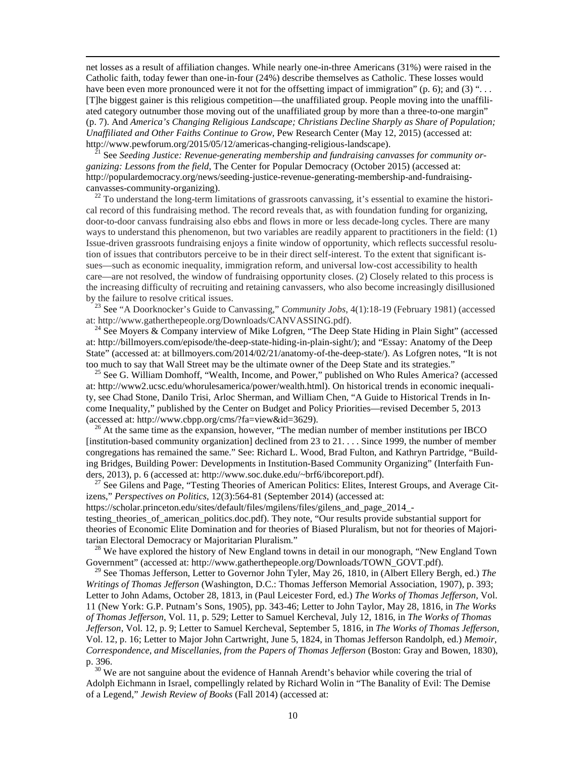net losses as a result of affiliation changes. While nearly one-in-three Americans (31%) were raised in the Catholic faith, today fewer than one-in-four (24%) describe themselves as Catholic. These losses would have been even more pronounced were it not for the offsetting impact of immigration" (p. 6); and (3) "... [T]he biggest gainer is this religious competition—the unaffiliated group. People moving into the unaffiliated category outnumber those moving out of the unaffiliated group by more than a three-to-one margin" (p. 7). And *America's Changing Religious Landscape; Christians Decline Sharply as Share of Population; Unaffiliated and Other Faiths Continue to Grow, Pew Research Center (May 12, 2015) (accessed at:*<br>http://www.pewforum.org/2015/05/12/americas-changing-religious-landscape).

<span id="page-9-1"></span><sup>21</sup> See *Seeding Justice: Revenue-generating membership and fundraising canvasses for community organizing: Lessons from the field*, The Center for Popular Democracy (October 2015) (accessed at: http://populardemocracy.org/news/seeding-justice-revenue-generating-membership-and-fundraisingcanvasses-community-organizing).<br><sup>22</sup> To understand the long-term limitations of grassroots canvassing, it's essential to examine the histori-

<span id="page-9-2"></span>cal record of this fundraising method. The record reveals that, as with foundation funding for organizing, door-to-door canvass fundraising also ebbs and flows in more or less decade-long cycles. There are many ways to understand this phenomenon, but two variables are readily apparent to practitioners in the field: (1) Issue-driven grassroots fundraising enjoys a finite window of opportunity, which reflects successful resolution of issues that contributors perceive to be in their direct self-interest. To the extent that significant issues—such as economic inequality, immigration reform, and universal low-cost accessibility to health care—are not resolved, the window of fundraising opportunity closes. (2) Closely related to this process is the increasing difficulty of recruiting and retaining canvassers, who also become increasingly disillusioned

by the failure to resolve critical issues.<br><sup>23</sup> See "A Doorknocker's Guide to Canvassing," *Community Jobs*, 4(1):18-19 (February 1981) (accessed at: http://www.gatherthepeople.org/Downloads/CANVASSING.pdf).

<sup>24</sup> See Moyers & Company interview of Mike Lofgren, "The Deep State Hiding in Plain Sight" (accessed at: http://billmoyers.com/episode/the-deep-state-hiding-in-plain-sight/); and "Essay: Anatomy of the Deep State" (accessed at: at billmoyers.com/2014/02/21/anatomy-of-the-deep-state/). As Lofgren notes, "It is not too much to say that Wall Street may be the ultimate owner of the Deep State and its strategies."<br><sup>25</sup> See G. William Domhoff, "Wealth, Income, and Power," published on Who Rules America? (accessed

at: http://www2.ucsc.edu/whorulesamerica/power/wealth.html). On historical trends in economic inequality, see Chad Stone, Danilo Trisi, Arloc Sherman, and William Chen, "A Guide to Historical Trends in Income Inequality," published by the Center on Budget and Policy Priorities—revised December 5, 2013 (accessed at: http://www.cbpp.org/cms/?fa=view&id=3629).<br><sup>26</sup> At the same time as the expansion, however, "The median number of member institutions per IBCO

[institution-based community organization] declined from 23 to 21. . . . Since 1999, the number of member congregations has remained the same." See: Richard L. Wood, Brad Fulton, and Kathryn Partridge, "Building Bridges, Building Power: Developments in Institution-Based Community Organizing" (Interfaith Fun-<br>ders, 2013), p. 6 (accessed at: http://www.soc.duke.edu/~brf6/ibcoreport.pdf).

 $27$  See Gilens and Page, "Testing Theories of American Politics: Elites, Interest Groups, and Average Citizens," *Perspectives on Politics*, 12(3):564-81 (September 2014) (accessed at:

https://scholar.princeton.edu/sites/default/files/mgilens/files/gilens\_and\_page\_2014\_-

testing\_theories\_of\_american\_politics.doc.pdf). They note, "Our results provide substantial support for theories of Economic Elite Domination and for theories of Biased Pluralism, but not for theories of Majoritarian Electoral Democracy or Majoritarian Pluralism."<br><sup>28</sup> We have explored the history of New England towns in detail in our monograph, "New England Town

Government" (accessed at: http://www.gatherthepeople.org/Downloads/TOWN\_GOVT.pdf).

<span id="page-9-0"></span><sup>29</sup> See Thomas Jefferson, Letter to Governor John Tyler, May 26, 1810, in (Albert Ellery Bergh, ed.) *The Writings of Thomas Jefferson* (Washington, D.C.: Thomas Jefferson Memorial Association, 1907), p. 393; Letter to John Adams, October 28, 1813, in (Paul Leicester Ford, ed.) *The Works of Thomas Jefferson,* Vol. 11 (New York: G.P. Putnam's Sons, 1905), pp. 343-46; Letter to John Taylor, May 28, 1816, in *The Works of Thomas Jefferson*, Vol. 11, p. 529; Letter to Samuel Kercheval, July 12, 1816, in *The Works of Thomas Jefferson*, Vol. 12, p. 9; Letter to Samuel Kercheval, September 5, 1816, in *The Works of Thomas Jefferson*, Vol. 12, p. 16; Letter to Major John Cartwright, June 5, 1824, in Thomas Jefferson Randolph, ed.) *Memoir, Correspondence, and Miscellanies, from the Papers of Thomas Jefferson* (Boston: Gray and Bowen, 1830), p. 396.<br><sup>30</sup> We are not sanguine about the evidence of Hannah Arendt's behavior while covering the trial of

Adolph Eichmann in Israel, compellingly related by Richard Wolin in "The Banality of Evil: The Demise of a Legend," *Jewish Review of Books* (Fall 2014) (accessed at: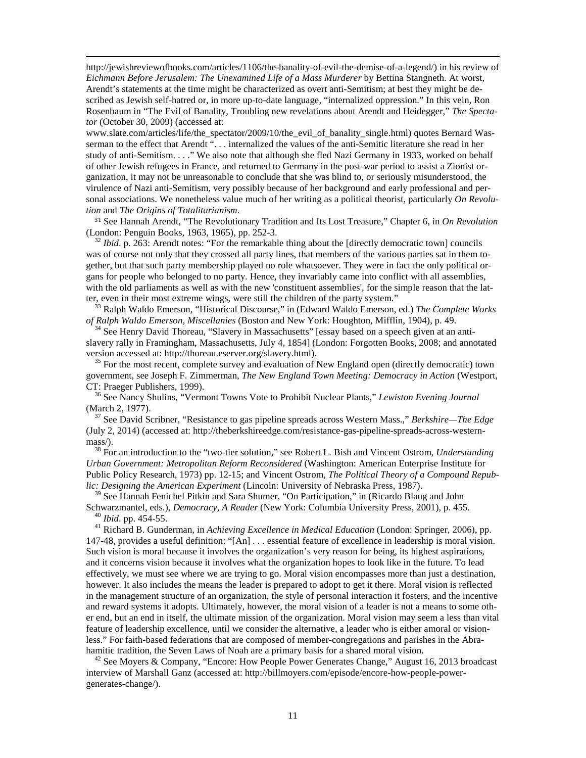http://jewishreviewofbooks.com/articles/1106/the-banality-of-evil-the-demise-of-a-legend/) in his review of *Eichmann Before Jerusalem: The Unexamined Life of a Mass Murderer* by Bettina Stangneth. At worst, Arendt's statements at the time might be characterized as overt anti-Semitism; at best they might be described as Jewish self-hatred or, in more up-to-date language, "internalized oppression." In this vein, Ron Rosenbaum in "The Evil of Banality, Troubling new revelations about Arendt and Heidegger," *The Spectator* (October 30, 2009) (accessed at:

www.slate.com/articles/life/the\_spectator/2009/10/the\_evil\_of\_banality\_single.html) quotes Bernard Wasserman to the effect that Arendt ". . . internalized the values of the anti-Semitic literature she read in her study of anti-Semitism. . . ." We also note that although she fled Nazi Germany in 1933, worked on behalf of other Jewish refugees in France, and returned to Germany in the post-war period to assist a Zionist organization, it may not be unreasonable to conclude that she was blind to, or seriously misunderstood, the virulence of Nazi anti-Semitism, very possibly because of her background and early professional and personal associations. We nonetheless value much of her writing as a political theorist, particularly *On Revolution* and *The Origins of Totalitarianism*.

<sup>31</sup> See Hannah Arendt, "The Revolutionary Tradition and Its Lost Treasure," Chapter 6, in *On Revolution*

 $\frac{32 \text{ Ibid. p. 263: Arendt notes: "For the remarkable thing about the [directly democratic town] councils}$ was of course not only that they crossed all party lines, that members of the various parties sat in them together, but that such party membership played no role whatsoever. They were in fact the only political organs for people who belonged to no party. Hence, they invariably came into conflict with all assemblies, with the old parliaments as well as with the new 'constituent assemblies', for the simple reason that the lat-

<span id="page-10-1"></span><span id="page-10-0"></span>ter, even in their most extreme wings, were still the children of the party system."<br><sup>33</sup> Ralph Waldo Emerson, "Historical Discourse," in (Edward Waldo Emerson, ed.) *The Complete Works of Ralph Waldo Emerson, Miscellani* 

<sup>34</sup> See Henry David Thoreau, "Slavery in Massachusetts" [essay based on a speech given at an antislavery rally in Framingham, Massachusetts, July 4, 1854] (London: Forgotten Books, 2008; and annotated version accessed at: http://thoreau.eserver.org/slavery.html).

<span id="page-10-2"></span> $35$  For the most recent, complete survey and evaluation of New England open (directly democratic) town government, see Joseph F. Zimmerman, *The New England Town Meeting: Democracy in Action* (Westport,

<span id="page-10-3"></span>CT: Praeger Publishers, 1999).<br><sup>36</sup> See Nancy Shulins, "Vermont Towns Vote to Prohibit Nuclear Plants," *Lewiston Evening Journal* (March 2, 1977).

(March 2, 1977). <sup>37</sup> See David Scribner, "Resistance to gas pipeline spreads across Western Mass.," *Berkshire—The Edge* (July 2, 2014) (accessed at: http://theberkshireedge.com/resistance-gas-pipeline-spreads-across-western-

<span id="page-10-4"></span>mass/).<br><sup>38</sup> For an introduction to the "two-tier solution," see Robert L. Bish and Vincent Ostrom, *Understanding Urban Government: Metropolitan Reform Reconsidered* (Washington: American Enterprise Institute for Public Policy Research, 1973) pp. 12-15; and Vincent Ostrom, *The Political Theory of a Compound Republic: Designing the American Experiment* (Lincoln: University of Nebraska Press, 1987).

<sup>39</sup> See Hannah Fenichel Pitkin and Sara Shumer, "On Participation," in (Ricardo Blaug and John Schwarzmantel, eds.), *Democracy*, *A Reader* (New York: Columbia University Press, 2001), p. 455.

<sup>40</sup> *Ibid.* pp. 454-55.<br><sup>41</sup> Richard B. Gunderman, in *Achieving Excellence in Medical Education* (London: Springer, 2006), pp. 147-48, provides a useful definition: "[An] . . . essential feature of excellence in leadership is moral vision. Such vision is moral because it involves the organization's very reason for being, its highest aspirations, and it concerns vision because it involves what the organization hopes to look like in the future. To lead effectively, we must see where we are trying to go. Moral vision encompasses more than just a destination, however. It also includes the means the leader is prepared to adopt to get it there. Moral vision is reflected in the management structure of an organization, the style of personal interaction it fosters, and the incentive and reward systems it adopts. Ultimately, however, the moral vision of a leader is not a means to some other end, but an end in itself, the ultimate mission of the organization. Moral vision may seem a less than vital feature of leadership excellence, until we consider the alternative, a leader who is either amoral or visionless." For faith-based federations that are composed of member-congregations and parishes in the Abrahamitic tradition, the Seven Laws of Noah are a primary basis for a shared moral vision.<br><sup>42</sup> See Moyers & Company, "Encore: How People Power Generates Change," August 16, 2013 broadcast

interview of Marshall Ganz (accessed at: http://billmoyers.com/episode/encore-how-people-powergenerates-change/).